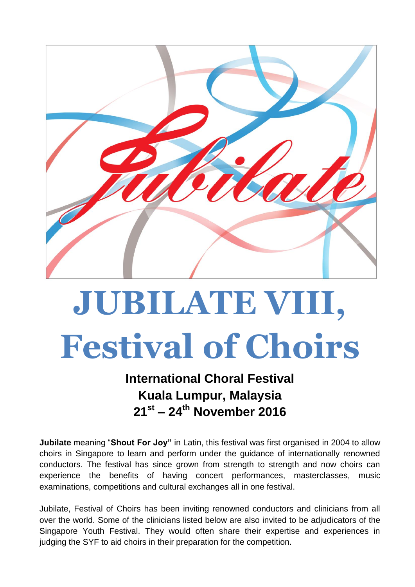

# **JUBILATE VIII, Festival of Choirs**

### **International Choral Festival Kuala Lumpur, Malaysia 21 st – 24 th November 2016**

**Jubilate** meaning "**Shout For Joy"** in Latin, this festival was first organised in 2004 to allow choirs in Singapore to learn and perform under the guidance of internationally renowned conductors. The festival has since grown from strength to strength and now choirs can experience the benefits of having concert performances, masterclasses, music examinations, competitions and cultural exchanges all in one festival.

Jubilate, Festival of Choirs has been inviting renowned conductors and clinicians from all over the world. Some of the clinicians listed below are also invited to be adjudicators of the Singapore Youth Festival. They would often share their expertise and experiences in judging the SYF to aid choirs in their preparation for the competition.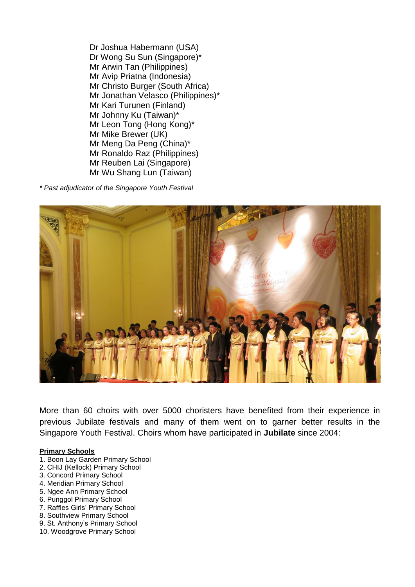Dr Joshua Habermann (USA) Dr Wong Su Sun (Singapore)\* Mr Arwin Tan (Philippines) Mr Avip Priatna (Indonesia) Mr Christo Burger (South Africa) Mr Jonathan Velasco (Philippines)\* Mr Kari Turunen (Finland) Mr Johnny Ku (Taiwan)\* Mr Leon Tong (Hong Kong)\* Mr Mike Brewer (UK) Mr Meng Da Peng (China)\* Mr Ronaldo Raz (Philippines) Mr Reuben Lai (Singapore) Mr Wu Shang Lun (Taiwan)

*\* Past adjudicator of the Singapore Youth Festival*



More than 60 choirs with over 5000 choristers have benefited from their experience in previous Jubilate festivals and many of them went on to garner better results in the Singapore Youth Festival. Choirs whom have participated in **Jubilate** since 2004:

#### **Primary Schools**

- 1. Boon Lay Garden Primary School
- 2. CHIJ (Kellock) Primary School
- 3. Concord Primary School
- 4. Meridian Primary School
- 5. Ngee Ann Primary School
- 6. Punggol Primary School
- 7. Raffles Girls' Primary School
- 8. Southview Primary School
- 9. St. Anthony's Primary School
- 10. Woodgrove Primary School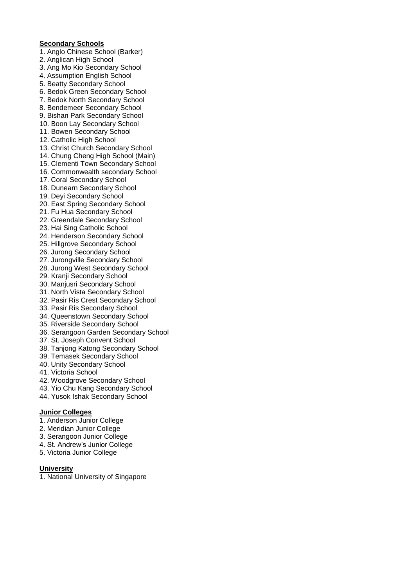#### **Secondary Schools**

- 1. Anglo Chinese School (Barker)
- 2. Anglican High School
- 3. Ang Mo Kio Secondary School
- 4. Assumption English School
- 5. Beatty Secondary School
- 6. Bedok Green Secondary School
- 7. Bedok North Secondary School
- 8. Bendemeer Secondary School 9. Bishan Park Secondary School
- 10. Boon Lay Secondary School
- 11. Bowen Secondary School
- 12. Catholic High School
- 13. Christ Church Secondary School
- 14. Chung Cheng High School (Main)
- 15. Clementi Town Secondary School
- 16. Commonwealth secondary School
- 17. Coral Secondary School
- 18. Dunearn Secondary School
- 19. Deyi Secondary School
- 20. East Spring Secondary School
- 21. Fu Hua Secondary School
- 22. Greendale Secondary School
- 23. Hai Sing Catholic School
- 24. Henderson Secondary School
- 25. Hillgrove Secondary School
- 26. Jurong Secondary School
- 27. Jurongville Secondary School
- 28. Jurong West Secondary School
- 29. Kranji Secondary School
- 30. Manjusri Secondary School
- 31. North Vista Secondary School
- 32. Pasir Ris Crest Secondary School
- 33. Pasir Ris Secondary School
- 34. Queenstown Secondary School
- 35. Riverside Secondary School
- 36. Serangoon Garden Secondary School
- 37. St. Joseph Convent School
- 38. Tanjong Katong Secondary School
- 39. Temasek Secondary School
- 40. Unity Secondary School
- 41. Victoria School
- 42. Woodgrove Secondary School
- 43. Yio Chu Kang Secondary School
- 44. Yusok Ishak Secondary School

#### **Junior Colleges**

- 1. Anderson Junior College
- 2. Meridian Junior College
- 3. Serangoon Junior College
- 4. St. Andrew's Junior College
- 5. Victoria Junior College

#### **University**

1. National University of Singapore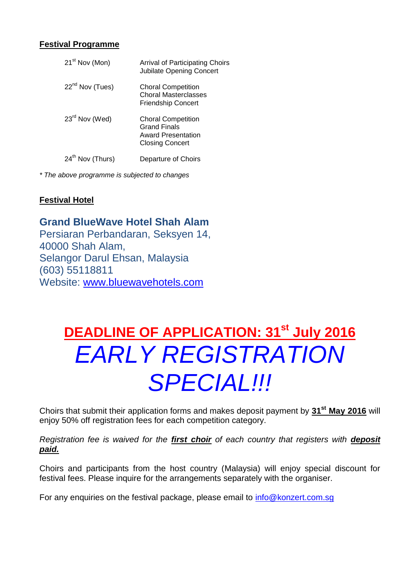#### **Festival Programme**

| 21 <sup>st</sup> Nov (Mon)   | <b>Arrival of Participating Choirs</b><br><b>Jubilate Opening Concert</b>                               |
|------------------------------|---------------------------------------------------------------------------------------------------------|
| 22 <sup>nd</sup> Nov (Tues)  | <b>Choral Competition</b><br><b>Choral Masterclasses</b><br><b>Friendship Concert</b>                   |
| 23 <sup>rd</sup> Nov (Wed)   | <b>Choral Competition</b><br><b>Grand Finals</b><br><b>Award Presentation</b><br><b>Closing Concert</b> |
| 24 <sup>th</sup> Nov (Thurs) | Departure of Choirs                                                                                     |

*\* The above programme is subjected to changes*

#### **Festival Hotel**

#### **Grand BlueWave Hotel Shah Alam**

Persiaran Perbandaran, Seksyen 14, 40000 Shah Alam, Selangor Darul Ehsan, Malaysia (603) 55118811 Website: [www.bluewavehotels.com](http://www.bluewavehotels.com/)

### **DEADLINE OF APPLICATION: 31st July 2016** *EARLY REGISTRATION SPECIAL!!!*

Choirs that submit their application forms and makes deposit payment by **31st May 2016** will enjoy 50% off registration fees for each competition category.

*Registration fee is waived for the first choir of each country that registers with deposit paid.*

Choirs and participants from the host country (Malaysia) will enjoy special discount for festival fees. Please inquire for the arrangements separately with the organiser.

For any enquiries on the festival package, please email to [info@konzert.com.sg](mailto:info@konzert.com.sg)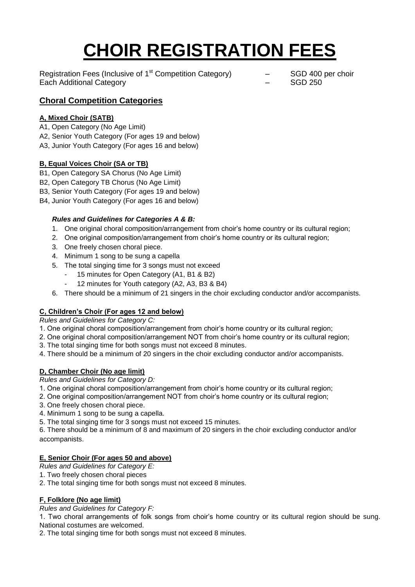## **CHOIR REGISTRATION FEES**

Registration Fees (Inclusive of  $1<sup>st</sup>$  Competition Category)  $-$  SGD 400 per choir Each Additional Category – SGD 250

#### **Choral Competition Categories**

#### **A, Mixed Choir (SATB)**

- A1, Open Category (No Age Limit)
- A2, Senior Youth Category (For ages 19 and below)
- A3, Junior Youth Category (For ages 16 and below)

#### **B, Equal Voices Choir (SA or TB)**

- B1, Open Category SA Chorus (No Age Limit)
- B2, Open Category TB Chorus (No Age Limit)
- B3, Senior Youth Category (For ages 19 and below)
- B4, Junior Youth Category (For ages 16 and below)

#### *Rules and Guidelines for Categories A & B:*

- 1. One original choral composition/arrangement from choir's home country or its cultural region;
- 2. One original composition/arrangement from choir's home country or its cultural region;
- 3. One freely chosen choral piece.
- 4. Minimum 1 song to be sung a capella
- 5. The total singing time for 3 songs must not exceed
	- 15 minutes for Open Category (A1, B1 & B2)
	- 12 minutes for Youth category (A2, A3, B3 & B4)
- 6. There should be a minimum of 21 singers in the choir excluding conductor and/or accompanists.

#### **C, Children's Choir (For ages 12 and below)**

*Rules and Guidelines for Category C:*

- 1. One original choral composition/arrangement from choir's home country or its cultural region;
- 2. One original choral composition/arrangement NOT from choir's home country or its cultural region;
- 3. The total singing time for both songs must not exceed 8 minutes.
- 4. There should be a minimum of 20 singers in the choir excluding conductor and/or accompanists.

#### **D, Chamber Choir (No age limit)**

*Rules and Guidelines for Category D:*

- 1. One original choral composition/arrangement from choir's home country or its cultural region;
- 2. One original composition/arrangement NOT from choir's home country or its cultural region;
- 3. One freely chosen choral piece.
- 4. Minimum 1 song to be sung a capella.
- 5. The total singing time for 3 songs must not exceed 15 minutes.

6. There should be a minimum of 8 and maximum of 20 singers in the choir excluding conductor and/or accompanists.

#### **E, Senior Choir (For ages 50 and above)**

*Rules and Guidelines for Category E:*

- 1. Two freely chosen choral pieces
- 2. The total singing time for both songs must not exceed 8 minutes.

#### **F, Folklore (No age limit)**

*Rules and Guidelines for Category F:*

1. Two choral arrangements of folk songs from choir's home country or its cultural region should be sung. National costumes are welcomed.

2. The total singing time for both songs must not exceed 8 minutes.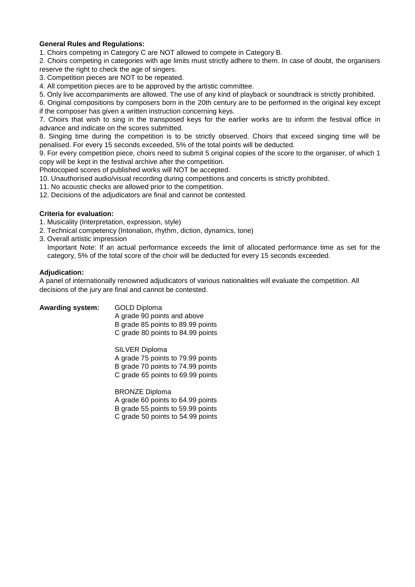#### **General Rules and Regulations:**

1. Choirs competing in Category C are NOT allowed to compete in Category B.

2. Choirs competing in categories with age limits must strictly adhere to them. In case of doubt, the organisers reserve the right to check the age of singers.

- 3. Competition pieces are NOT to be repeated.
- 4. All competition pieces are to be approved by the artistic committee.
- 5. Only live accompaniments are allowed. The use of any kind of playback or soundtrack is strictly prohibited.

6. Original compositions by composers born in the 20th century are to be performed in the original key except if the composer has given a written instruction concerning keys.

7. Choirs that wish to sing in the transposed keys for the earlier works are to inform the festival office in advance and indicate on the scores submitted.

8. Singing time during the competition is to be strictly observed. Choirs that exceed singing time will be penalised. For every 15 seconds exceeded, 5% of the total points will be deducted.

9. For every competition piece, choirs need to submit 5 original copies of the score to the organiser, of which 1 copy will be kept in the festival archive after the competition.

Photocopied scores of published works will NOT be accepted.

10. Unauthorised audio/visual recording during competitions and concerts is strictly prohibited.

- 11. No acoustic checks are allowed prior to the competition.
- 12. Decisions of the adjudicators are final and cannot be contested.

#### **Criteria for evaluation:**

- 1. Musicality (Interpretation, expression, style)
- 2. Technical competency (Intonation, rhythm, diction, dynamics, tone)
- 3. Overall artistic impression

Important Note: If an actual performance exceeds the limit of allocated performance time as set for the category, 5% of the total score of the choir will be deducted for every 15 seconds exceeded.

#### **Adjudication:**

A panel of internationally renowned adjudicators of various nationalities will evaluate the competition. All decisions of the jury are final and cannot be contested.

| <b>Awarding system:</b> | <b>GOLD Diploma</b><br>A grade 90 points and above<br>B grade 85 points to 89.99 points<br>C grade 80 points to 84.99 points         |
|-------------------------|--------------------------------------------------------------------------------------------------------------------------------------|
|                         | <b>SILVER Diploma</b><br>A grade 75 points to 79.99 points<br>B grade 70 points to 74.99 points<br>C grade 65 points to 69.99 points |
|                         | <b>BRONZE Diploma</b><br>A grade 60 points to 64.99 points<br>B grade 55 points to 59.99 points                                      |

C grade 50 points to 54.99 points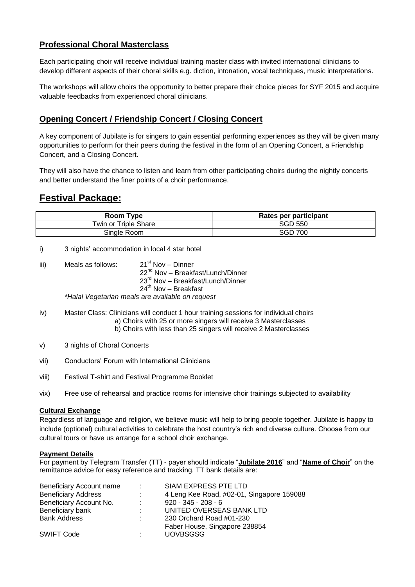#### **Professional Choral Masterclass**

Each participating choir will receive individual training master class with invited international clinicians to develop different aspects of their choral skills e.g. diction, intonation, vocal techniques, music interpretations.

The workshops will allow choirs the opportunity to better prepare their choice pieces for SYF 2015 and acquire valuable feedbacks from experienced choral clinicians.

#### **Opening Concert / Friendship Concert / Closing Concert**

A key component of Jubilate is for singers to gain essential performing experiences as they will be given many opportunities to perform for their peers during the festival in the form of an Opening Concert, a Friendship Concert, and a Closing Concert.

They will also have the chance to listen and learn from other participating choirs during the nightly concerts and better understand the finer points of a choir performance.

#### **Festival Package:**

| Room Type            | Rates per participant |
|----------------------|-----------------------|
| Twin or Triple Share | SGD 550               |
| Sinale Room          | <b>SGD 700</b>        |

- i) 3 nights' accommodation in local 4 star hotel
- iii) Meals as follows:  $21<sup>st</sup>$  Nov – Dinner 22<sup>nd</sup> Nov – Breakfast/Lunch/Dinner 23<sup>rd</sup> Nov – Breakfast/Lunch/Dinner 24<sup>th</sup> Nov – Breakfast *\*Halal Vegetarian meals are available on request*

- iv) Master Class: Clinicians will conduct 1 hour training sessions for individual choirs a) Choirs with 25 or more singers will receive 3 Masterclasses
	- b) Choirs with less than 25 singers will receive 2 Masterclasses
- v) 3 nights of Choral Concerts
- vii) Conductors' Forum with International Clinicians
- viii) Festival T-shirt and Festival Programme Booklet
- vix) Free use of rehearsal and practice rooms for intensive choir trainings subjected to availability

#### **Cultural Exchange**

Regardless of language and religion, we believe music will help to bring people together. Jubilate is happy to include (optional) cultural activities to celebrate the host country's rich and diverse culture. Choose from our cultural tours or have us arrange for a school choir exchange.

#### **Payment Details**

For payment by Telegram Transfer (TT) - payer should indicate "**Jubilate 2016**" and "**Name of Choir**" on the remittance advice for easy reference and tracking. TT bank details are:

| SIAM EXPRESS PTE LTD                                   |
|--------------------------------------------------------|
| 4 Leng Kee Road, #02-01, Singapore 159088<br>÷.        |
| $920 - 345 - 208 - 6$<br>$\mathcal{L}^{\text{max}}$    |
| UNITED OVERSEAS BANK LTD<br>the c                      |
| 230 Orchard Road #01-230<br>$\mathcal{L}^{\text{max}}$ |
| Faber House, Singapore 238854                          |
| <b>UOVBSGSG</b><br>$\mathcal{L}^{\text{max}}$          |
|                                                        |